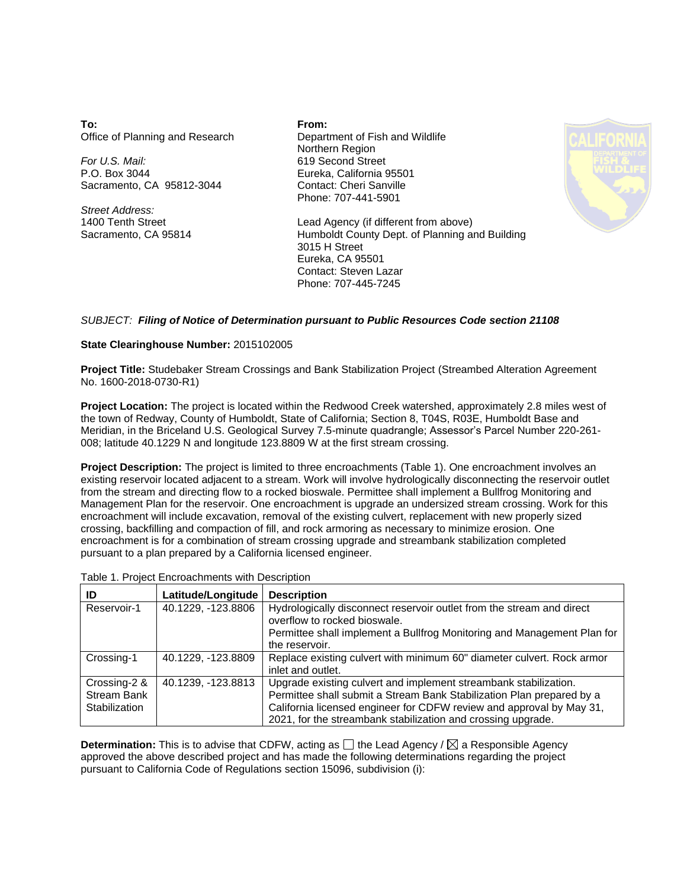**To:** Office of Planning and Research

*For U.S. Mail:* P.O. Box 3044 Sacramento, CA 95812-3044

*Street Address:* 1400 Tenth Street Sacramento, CA 95814 **From:** Department of Fish and Wildlife Northern Region 619 Second Street Eureka, California 95501 Contact: Cheri Sanville Phone: 707-441-5901



Lead Agency (if different from above) Humboldt County Dept. of Planning and Building 3015 H Street Eureka, CA 95501 Contact: Steven Lazar Phone: 707-445-7245

## *SUBJECT: Filing of Notice of Determination pursuant to Public Resources Code section 21108*

## **State Clearinghouse Number:** 2015102005

**Project Title:** Studebaker Stream Crossings and Bank Stabilization Project (Streambed Alteration Agreement No. 1600-2018-0730-R1)

**Project Location:** The project is located within the Redwood Creek watershed, approximately 2.8 miles west of the town of Redway, County of Humboldt, State of California; Section 8, T04S, R03E, Humboldt Base and Meridian, in the Briceland U.S. Geological Survey 7.5-minute quadrangle; Assessor's Parcel Number 220-261- 008; latitude 40.1229 N and longitude 123.8809 W at the first stream crossing.

**Project Description:** The project is limited to three encroachments (Table 1). One encroachment involves an existing reservoir located adjacent to a stream. Work will involve hydrologically disconnecting the reservoir outlet from the stream and directing flow to a rocked bioswale. Permittee shall implement a Bullfrog Monitoring and Management Plan for the reservoir. One encroachment is upgrade an undersized stream crossing. Work for this encroachment will include excavation, removal of the existing culvert, replacement with new properly sized crossing, backfilling and compaction of fill, and rock armoring as necessary to minimize erosion. One encroachment is for a combination of stream crossing upgrade and streambank stabilization completed pursuant to a plan prepared by a California licensed engineer.

| Table 1. Project Encroachments with Description |  |  |  |  |  |
|-------------------------------------------------|--|--|--|--|--|
|-------------------------------------------------|--|--|--|--|--|

| ID                                                  | Latitude/Longitude | <b>Description</b>                                                                                                                                                                                                                                                                |
|-----------------------------------------------------|--------------------|-----------------------------------------------------------------------------------------------------------------------------------------------------------------------------------------------------------------------------------------------------------------------------------|
| Reservoir-1                                         | 40.1229, -123.8806 | Hydrologically disconnect reservoir outlet from the stream and direct<br>overflow to rocked bioswale.                                                                                                                                                                             |
|                                                     |                    | Permittee shall implement a Bullfrog Monitoring and Management Plan for<br>the reservoir.                                                                                                                                                                                         |
| Crossing-1                                          | 40.1229, -123.8809 | Replace existing culvert with minimum 60" diameter culvert. Rock armor<br>inlet and outlet.                                                                                                                                                                                       |
| Crossing-2 &<br><b>Stream Bank</b><br>Stabilization | 40.1239. -123.8813 | Upgrade existing culvert and implement streambank stabilization.<br>Permittee shall submit a Stream Bank Stabilization Plan prepared by a<br>California licensed engineer for CDFW review and approval by May 31,<br>2021, for the streambank stabilization and crossing upgrade. |

**Determination:** This is to advise that CDFW, acting as  $\Box$  the Lead Agency /  $\boxtimes$  a Responsible Agency approved the above described project and has made the following determinations regarding the project pursuant to California Code of Regulations section 15096, subdivision (i):